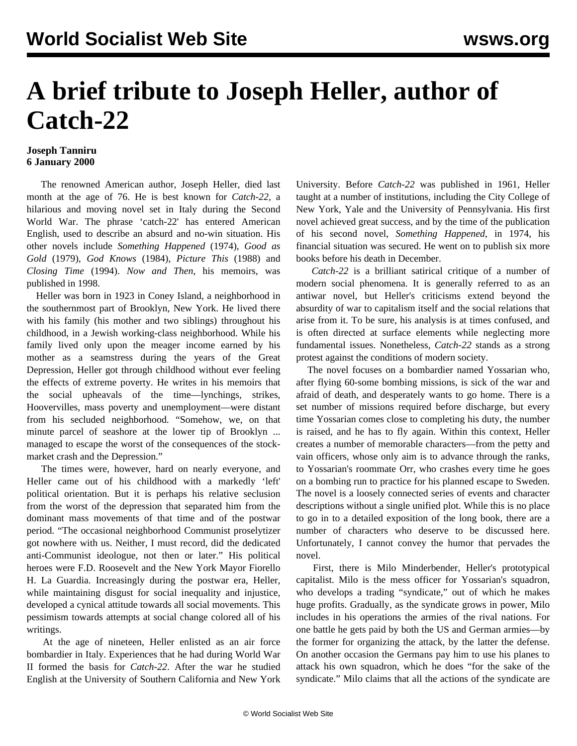## **A brief tribute to Joseph Heller, author of Catch-22**

## **Joseph Tanniru 6 January 2000**

 The renowned American author, Joseph Heller, died last month at the age of 76. He is best known for *Catch-22*, a hilarious and moving novel set in Italy during the Second World War. The phrase 'catch-22' has entered American English, used to describe an absurd and no-win situation. His other novels include *Something Happened* (1974), *Good as Gold* (1979), *God Knows* (1984), *Picture This* (1988) and *Closing Time* (1994). *Now and Then*, his memoirs, was published in 1998.

 Heller was born in 1923 in Coney Island, a neighborhood in the southernmost part of Brooklyn, New York. He lived there with his family (his mother and two siblings) throughout his childhood, in a Jewish working-class neighborhood. While his family lived only upon the meager income earned by his mother as a seamstress during the years of the Great Depression, Heller got through childhood without ever feeling the effects of extreme poverty. He writes in his memoirs that the social upheavals of the time—lynchings, strikes, Hoovervilles, mass poverty and unemployment—were distant from his secluded neighborhood. "Somehow, we, on that minute parcel of seashore at the lower tip of Brooklyn ... managed to escape the worst of the consequences of the stockmarket crash and the Depression."

 The times were, however, hard on nearly everyone, and Heller came out of his childhood with a markedly 'left' political orientation. But it is perhaps his relative seclusion from the worst of the depression that separated him from the dominant mass movements of that time and of the postwar period. "The occasional neighborhood Communist proselytizer got nowhere with us. Neither, I must record, did the dedicated anti-Communist ideologue, not then or later." His political heroes were F.D. Roosevelt and the New York Mayor Fiorello H. La Guardia. Increasingly during the postwar era, Heller, while maintaining disgust for social inequality and injustice, developed a cynical attitude towards all social movements. This pessimism towards attempts at social change colored all of his writings.

 At the age of nineteen, Heller enlisted as an air force bombardier in Italy. Experiences that he had during World War II formed the basis for *Catch-22*. After the war he studied English at the University of Southern California and New York University. Before *Catch-22* was published in 1961, Heller taught at a number of institutions, including the City College of New York, Yale and the University of Pennsylvania. His first novel achieved great success, and by the time of the publication of his second novel, *Something Happened*, in 1974, his financial situation was secured. He went on to publish six more books before his death in December.

 *Catch-22* is a brilliant satirical critique of a number of modern social phenomena. It is generally referred to as an antiwar novel, but Heller's criticisms extend beyond the absurdity of war to capitalism itself and the social relations that arise from it. To be sure, his analysis is at times confused, and is often directed at surface elements while neglecting more fundamental issues. Nonetheless, *Catch-22* stands as a strong protest against the conditions of modern society.

 The novel focuses on a bombardier named Yossarian who, after flying 60-some bombing missions, is sick of the war and afraid of death, and desperately wants to go home. There is a set number of missions required before discharge, but every time Yossarian comes close to completing his duty, the number is raised, and he has to fly again. Within this context, Heller creates a number of memorable characters—from the petty and vain officers, whose only aim is to advance through the ranks, to Yossarian's roommate Orr, who crashes every time he goes on a bombing run to practice for his planned escape to Sweden. The novel is a loosely connected series of events and character descriptions without a single unified plot. While this is no place to go in to a detailed exposition of the long book, there are a number of characters who deserve to be discussed here. Unfortunately, I cannot convey the humor that pervades the novel.

 First, there is Milo Minderbender, Heller's prototypical capitalist. Milo is the mess officer for Yossarian's squadron, who develops a trading "syndicate," out of which he makes huge profits. Gradually, as the syndicate grows in power, Milo includes in his operations the armies of the rival nations. For one battle he gets paid by both the US and German armies—by the former for organizing the attack, by the latter the defense. On another occasion the Germans pay him to use his planes to attack his own squadron, which he does "for the sake of the syndicate." Milo claims that all the actions of the syndicate are